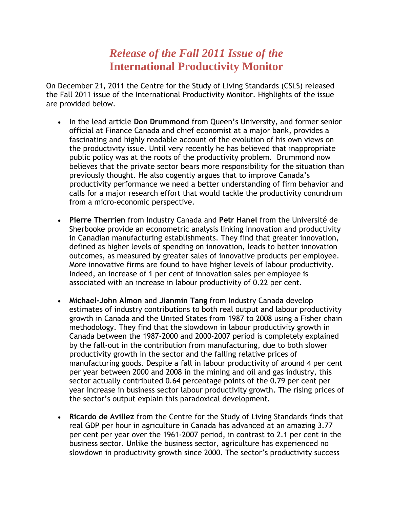## *Release of the Fall 2011 Issue of the* **International Productivity Monitor**

On December 21, 2011 the Centre for the Study of Living Standards (CSLS) released the Fall 2011 issue of the International Productivity Monitor. Highlights of the issue are provided below.

- In the lead article **Don Drummond** from Queen's University, and former senior official at Finance Canada and chief economist at a major bank, provides a fascinating and highly readable account of the evolution of his own views on the productivity issue. Until very recently he has believed that inappropriate public policy was at the roots of the productivity problem. Drummond now believes that the private sector bears more responsibility for the situation than previously thought. He also cogently argues that to improve Canada's productivity performance we need a better understanding of firm behavior and calls for a major research effort that would tackle the productivity conundrum from a micro-economic perspective.
- **Pierre Therrien** from Industry Canada and **Petr Hanel** from the Université de Sherbooke provide an econometric analysis linking innovation and productivity in Canadian manufacturing establishments. They find that greater innovation, defined as higher levels of spending on innovation, leads to better innovation outcomes, as measured by greater sales of innovative products per employee. More innovative firms are found to have higher levels of labour productivity. Indeed, an increase of 1 per cent of innovation sales per employee is associated with an increase in labour productivity of 0.22 per cent.
- **Michael-John Almon** and **Jianmin Tang** from Industry Canada develop estimates of industry contributions to both real output and labour productivity growth in Canada and the United States from 1987 to 2008 using a Fisher chain methodology. They find that the slowdown in labour productivity growth in Canada between the 1987-2000 and 2000-2007 period is completely explained by the fall-out in the contribution from manufacturing, due to both slower productivity growth in the sector and the falling relative prices of manufacturing goods. Despite a fall in labour productivity of around 4 per cent per year between 2000 and 2008 in the mining and oil and gas industry, this sector actually contributed 0.64 percentage points of the 0.79 per cent per year increase in business sector labour productivity growth. The rising prices of the sector's output explain this paradoxical development.
- **Ricardo de Avillez** from the Centre for the Study of Living Standards finds that real GDP per hour in agriculture in Canada has advanced at an amazing 3.77 per cent per year over the 1961-2007 period, in contrast to 2.1 per cent in the business sector. Unlike the business sector, agriculture has experienced no slowdown in productivity growth since 2000. The sector's productivity success